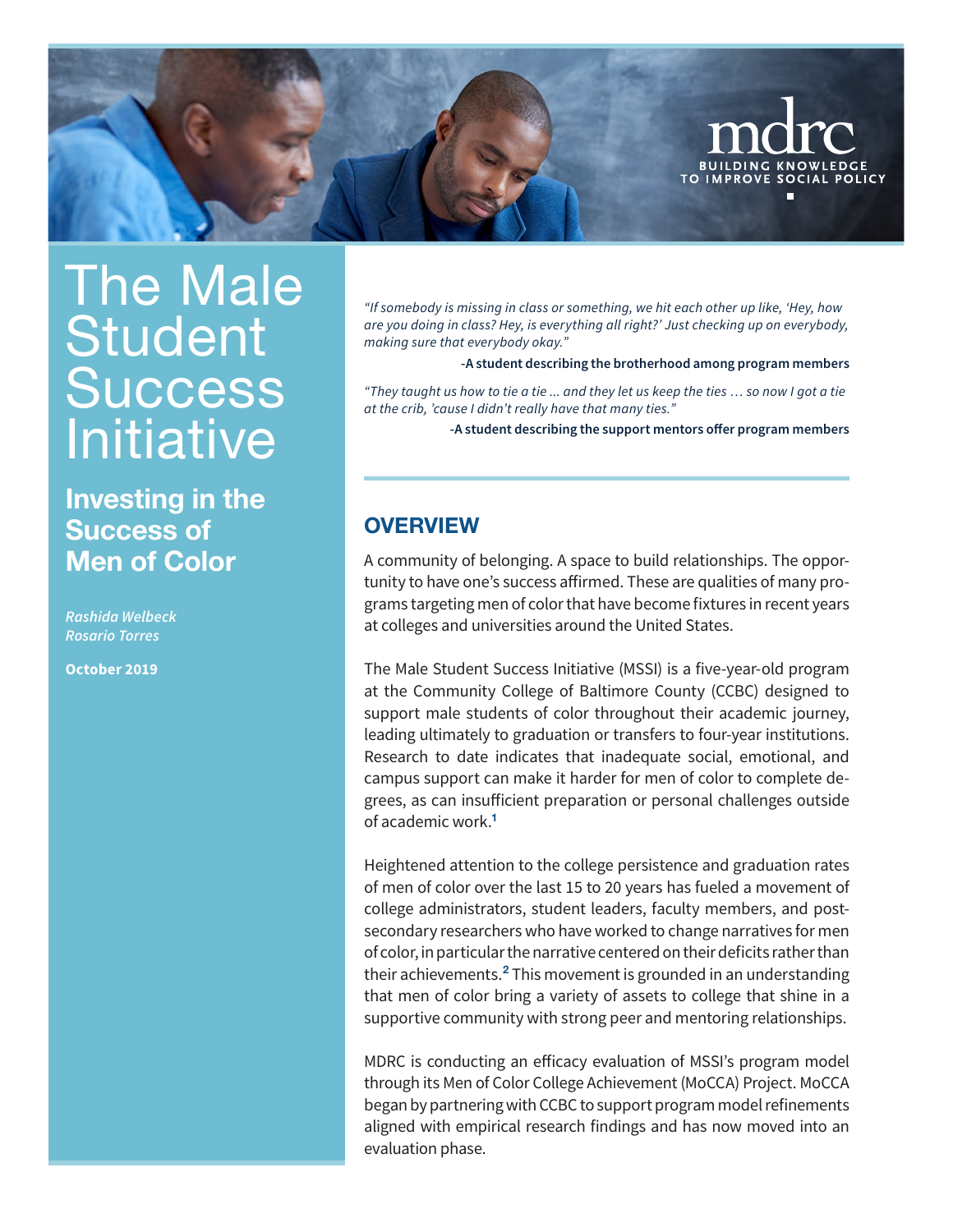<span id="page-0-0"></span>

# The Male **Student Success** Initiative

Investing in the Success of Men of Color

*Rashida Welbeck Rosario Torres*

**October 2019**

*"If somebody is missing in class or something, we hit each other up like, 'Hey, how are you doing in class? Hey, is everything all right?' Just checking up on everybody, making sure that everybody okay."*

 **-A student describing the brotherhood among program members**

*"They taught us how to tie a tie ... and they let us keep the ties … so now I got a tie at the crib, 'cause I didn't really have that many ties."* 

**-A student describing the support mentors offer program members**

## **OVERVIEW**

A community of belonging. A space to build relationships. The opportunity to have one's success affirmed. These are qualities of many programs targeting men of color that have become fixtures in recent years at colleges and universities around the United States.

The Male Student Success Initiative (MSSI) is a five-year-old program at the Community College of Baltimore County (CCBC) designed to support male students of color throughout their academic journey, leading ultimately to graduation or transfers to four-year institutions. Research to date indicates that inadequate social, emotional, and campus support can make it harder for men of color to complete degrees, as can insufficient preparation or personal challenges outside of academic work.[1](#page-3-0)

Heightened attention to the college persistence and graduation rates of men of color over the last 15 to 20 years has fueled a movement of college administrators, student leaders, faculty members, and postsecondary researchers who have worked to change narratives for men of color, in particular the narrative centered on their deficits rather than their achievements.<sup>[2](#page-3-0)</sup> This movement is grounded in an understanding that men of color bring a variety of assets to college that shine in a supportive community with strong peer and mentoring relationships.

MDRC is conducting an efficacy evaluation of MSSI's program model through its Men of Color College Achievement (MoCCA) Project. MoCCA began by partnering with CCBC to support program model refinements aligned with empirical research findings and has now moved into an evaluation phase.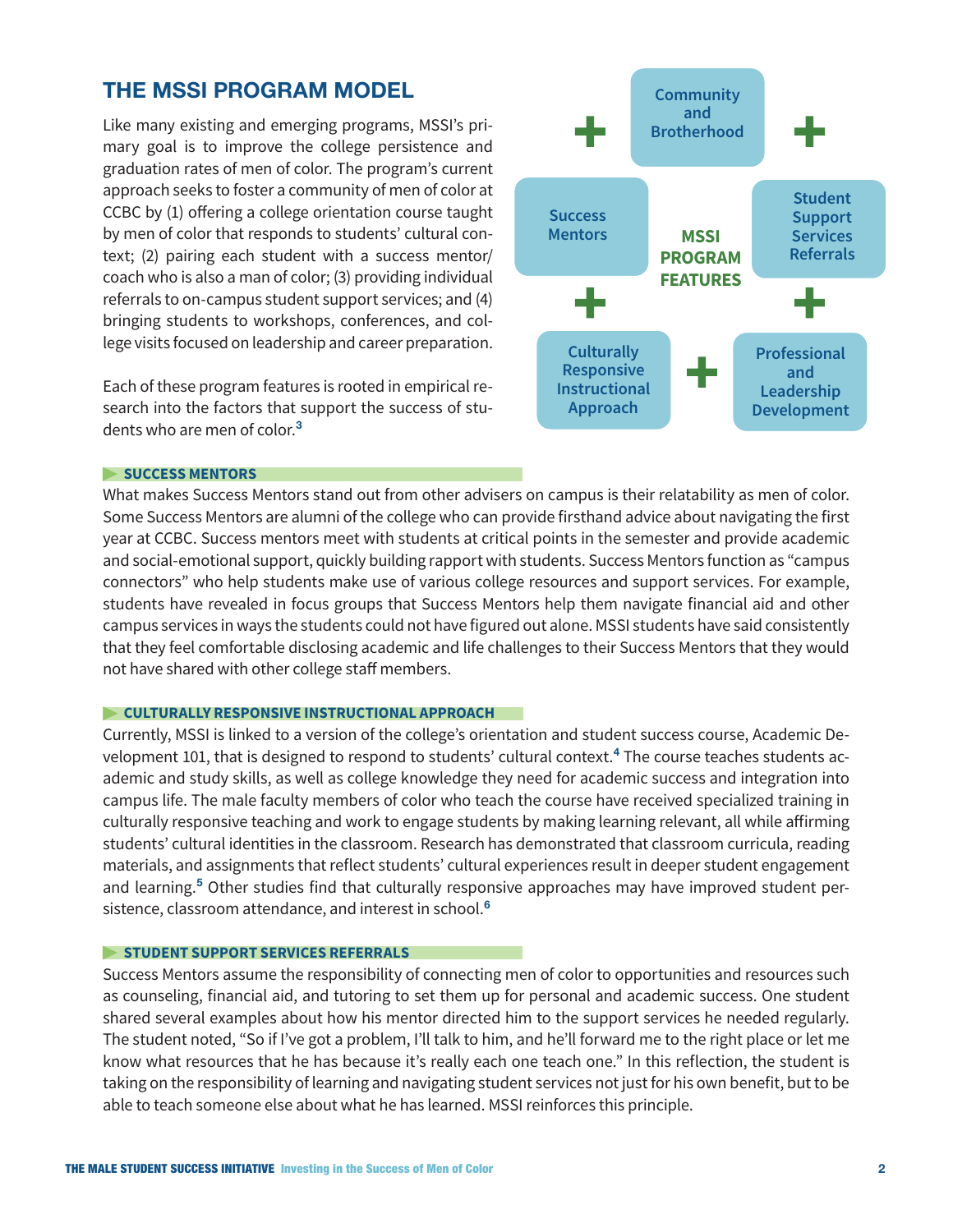# <span id="page-1-0"></span>THE MSSI PROGRAM MODEL

Like many existing and emerging programs, MSSI's primary goal is to improve the college persistence and graduation rates of men of color. The program's current approach seeks to foster a community of men of color at CCBC by (1) offering a college orientation course taught by men of color that responds to students' cultural context; (2) pairing each student with a success mentor/ coach who is also a man of color; (3) providing individual referrals to on-campus student support services; and (4) bringing students to workshops, conferences, and college visits focused on leadership and career preparation.

Each of these program features is rooted in empirical research into the factors that support the success of stu-dents who are men of color.<sup>[3](#page-3-0)</sup>



### **SUCCESS MENTORS**

What makes Success Mentors stand out from other advisers on campus is their relatability as men of color. Some Success Mentors are alumni of the college who can provide firsthand advice about navigating the first year at CCBC. Success mentors meet with students at critical points in the semester and provide academic and social-emotional support, quickly building rapport with students. Success Mentors function as "campus connectors" who help students make use of various college resources and support services. For example, students have revealed in focus groups that Success Mentors help them navigate financial aid and other campus services in ways the students could not have figured out alone. MSSI students have said consistently that they feel comfortable disclosing academic and life challenges to their Success Mentors that they would not have shared with other college staff members.

## **CULTURALLY RESPONSIVE INSTRUCTIONAL APPROACH**

Currently, MSSI is linked to a version of the college's orientation and student success course, Academic De-velopment 101, that is designed to respond to students' cultural context.<sup>[4](#page-3-0)</sup> The course teaches students academic and study skills, as well as college knowledge they need for academic success and integration into campus life. The male faculty members of color who teach the course have received specialized training in culturally responsive teaching and work to engage students by making learning relevant, all while affirming students' cultural identities in the classroom. Research has demonstrated that classroom curricula, reading materials, and assignments that reflect students' cultural experiences result in deeper student engagement and learning.<sup>[5](#page-3-0)</sup> Other studies find that culturally responsive approaches may have improved student per-sistence, classroom attendance, and interest in school.<sup>[6](#page-3-0)</sup>

#### **STUDENT SUPPORT SERVICES REFERRALS**

Success Mentors assume the responsibility of connecting men of color to opportunities and resources such as counseling, financial aid, and tutoring to set them up for personal and academic success. One student shared several examples about how his mentor directed him to the support services he needed regularly. The student noted, "So if I've got a problem, I'll talk to him, and he'll forward me to the right place or let me know what resources that he has because it's really each one teach one." In this reflection, the student is taking on the responsibility of learning and navigating student services not just for his own benefit, but to be able to teach someone else about what he has learned. MSSI reinforces this principle.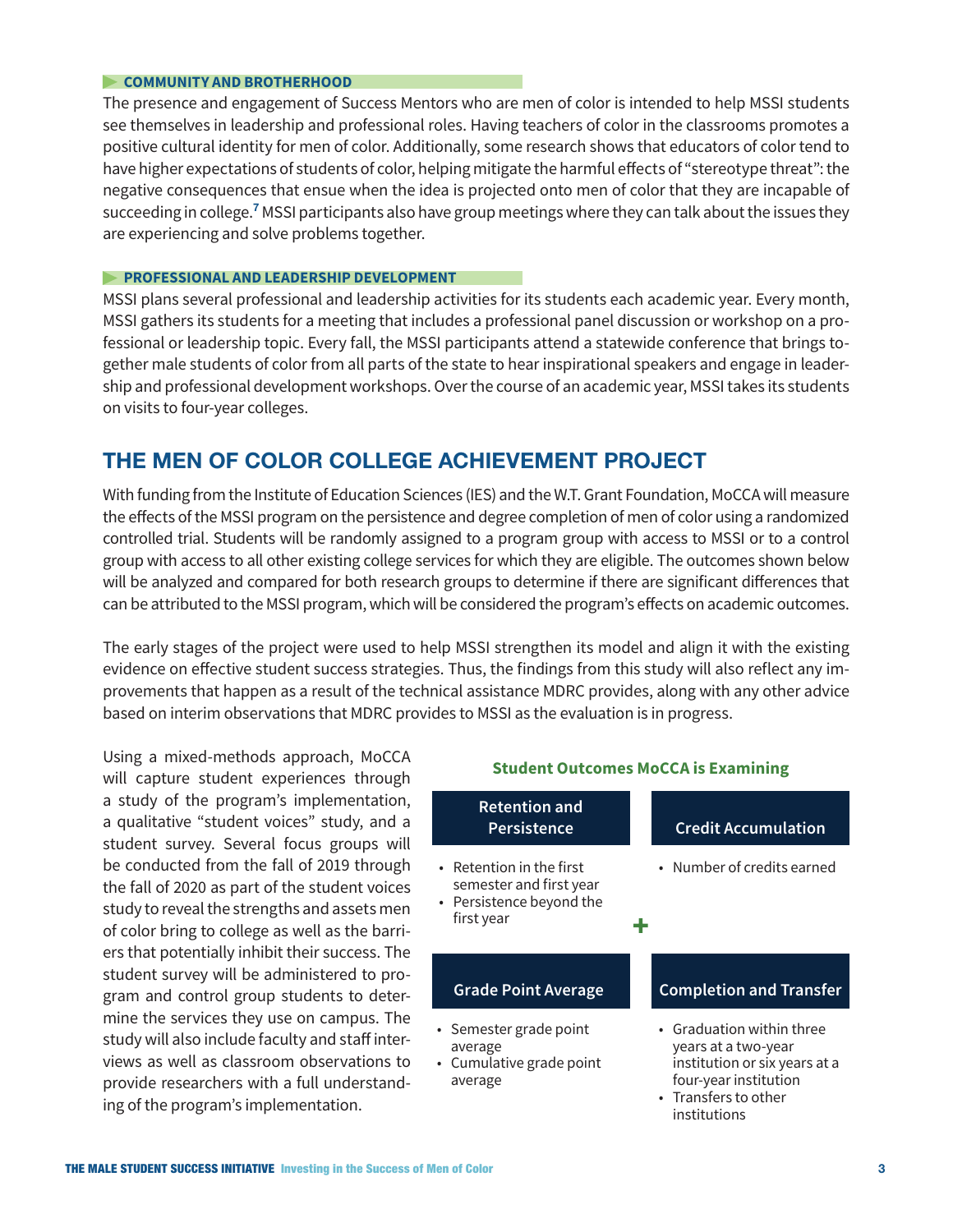## <span id="page-2-0"></span>**COMMUNITY AND BROTHERHOOD**

The presence and engagement of Success Mentors who are men of color is intended to help MSSI students see themselves in leadership and professional roles. Having teachers of color in the classrooms promotes a positive cultural identity for men of color. Additionally, some research shows that educators of color tend to have higher expectations of students of color, helping mitigate the harmful effects of "stereotype threat": the negative consequences that ensue when the idea is projected onto men of color that they are incapable of succeeding in college.<sup>[7](#page-3-0)</sup> MSSI participants also have group meetings where they can talk about the issues they are experiencing and solve problems together.

## **PROFESSIONAL AND LEADERSHIP DEVELOPMENT**

MSSI plans several professional and leadership activities for its students each academic year. Every month, MSSI gathers its students for a meeting that includes a professional panel discussion or workshop on a professional or leadership topic. Every fall, the MSSI participants attend a statewide conference that brings together male students of color from all parts of the state to hear inspirational speakers and engage in leadership and professional development workshops. Over the course of an academic year, MSSI takes its students on visits to four-year colleges.

# THE MEN OF COLOR COLLEGE ACHIEVEMENT PROJECT

With funding from the Institute of Education Sciences (IES) and the W.T. Grant Foundation, MoCCA will measure the effects of the MSSI program on the persistence and degree completion of men of color using a randomized controlled trial. Students will be randomly assigned to a program group with access to MSSI or to a control group with access to all other existing college services for which they are eligible. The outcomes shown below will be analyzed and compared for both research groups to determine if there are significant differences that can be attributed to the MSSI program, which will be considered the program's effects on academic outcomes.

The early stages of the project were used to help MSSI strengthen its model and align it with the existing evidence on effective student success strategies. Thus, the findings from this study will also reflect any improvements that happen as a result of the technical assistance MDRC provides, along with any other advice based on interim observations that MDRC provides to MSSI as the evaluation is in progress.

Using a mixed-methods approach, MoCCA will capture student experiences through a study of the program's implementation, a qualitative "student voices" study, and a student survey. Several focus groups will be conducted from the fall of 2019 through the fall of 2020 as part of the student voices study to reveal the strengths and assets men of color bring to college as well as the barriers that potentially inhibit their success. The student survey will be administered to program and control group students to determine the services they use on campus. The study will also include faculty and staff interviews as well as classroom observations to provide researchers with a full understanding of the program's implementation.